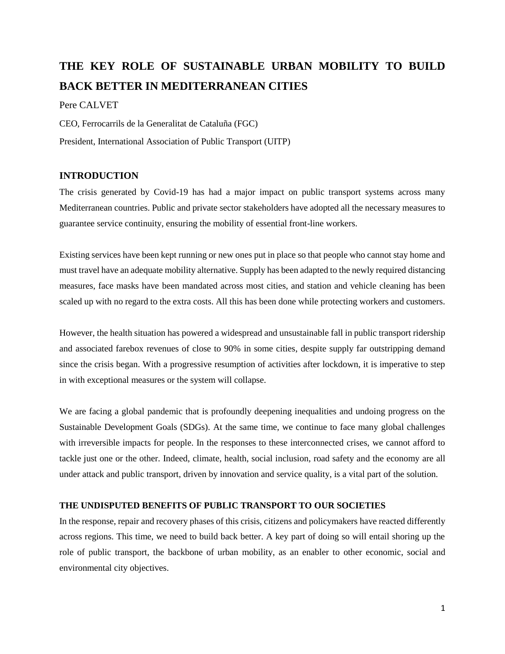# **THE KEY ROLE OF SUSTAINABLE URBAN MOBILITY TO BUILD BACK BETTER IN MEDITERRANEAN CITIES**

# Pere CALVET

CEO, Ferrocarrils de la Generalitat de Cataluña (FGC) President, International Association of Public Transport (UITP)

# **INTRODUCTION**

The crisis generated by Covid-19 has had a major impact on public transport systems across many Mediterranean countries. Public and private sector stakeholders have adopted all the necessary measures to guarantee service continuity, ensuring the mobility of essential front-line workers.

Existing services have been kept running or new ones put in place so that people who cannot stay home and must travel have an adequate mobility alternative. Supply has been adapted to the newly required distancing measures, face masks have been mandated across most cities, and station and vehicle cleaning has been scaled up with no regard to the extra costs. All this has been done while protecting workers and customers.

However, the health situation has powered a widespread and unsustainable fall in public transport ridership and associated farebox revenues of close to 90% in some cities, despite supply far outstripping demand since the crisis began. With a progressive resumption of activities after lockdown, it is imperative to step in with exceptional measures or the system will collapse.

We are facing a global pandemic that is profoundly deepening inequalities and undoing progress on the Sustainable Development Goals (SDGs). At the same time, we continue to face many global challenges with irreversible impacts for people. In the responses to these interconnected crises, we cannot afford to tackle just one or the other. Indeed, climate, health, social inclusion, road safety and the economy are all under attack and public transport, driven by innovation and service quality, is a vital part of the solution.

## **THE UNDISPUTED BENEFITS OF PUBLIC TRANSPORT TO OUR SOCIETIES**

In the response, repair and recovery phases of this crisis, citizens and policymakers have reacted differently across regions. This time, we need to build back better. A key part of doing so will entail shoring up the role of public transport, the backbone of urban mobility, as an enabler to other economic, social and environmental city objectives.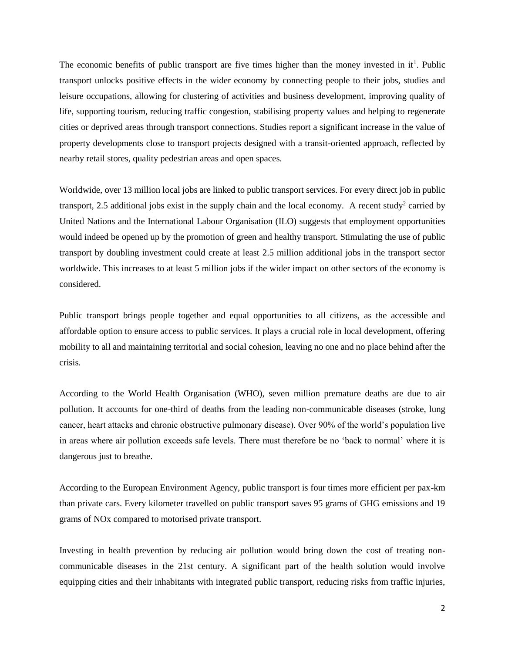The economic benefits of public transport are five times higher than the money invested in  $it<sup>1</sup>$ . Public transport unlocks positive effects in the wider economy by connecting people to their jobs, studies and leisure occupations, allowing for clustering of activities and business development, improving quality of life, supporting tourism, reducing traffic congestion, stabilising property values and helping to regenerate cities or deprived areas through transport connections. Studies report a significant increase in the value of property developments close to transport projects designed with a transit-oriented approach, reflected by nearby retail stores, quality pedestrian areas and open spaces.

Worldwide, over 13 million local jobs are linked to public transport services. For every direct job in public transport, 2.5 additional jobs exist in the supply chain and the local economy. A recent study<sup>2</sup> carried by United Nations and the International Labour Organisation (ILO) suggests that employment opportunities would indeed be opened up by the promotion of green and healthy transport. Stimulating the use of public transport by doubling investment could create at least 2.5 million additional jobs in the transport sector worldwide. This increases to at least 5 million jobs if the wider impact on other sectors of the economy is considered.

Public transport brings people together and equal opportunities to all citizens, as the accessible and affordable option to ensure access to public services. It plays a crucial role in local development, offering mobility to all and maintaining territorial and social cohesion, leaving no one and no place behind after the crisis.

According to the World Health Organisation (WHO), seven million premature deaths are due to air pollution. It accounts for one-third of deaths from the leading non-communicable diseases (stroke, lung cancer, heart attacks and chronic obstructive pulmonary disease). Over 90% of the world's population live in areas where air pollution exceeds safe levels. There must therefore be no 'back to normal' where it is dangerous just to breathe.

According to the European Environment Agency, public transport is four times more efficient per pax-km than private cars. Every kilometer travelled on public transport saves 95 grams of GHG emissions and 19 grams of NOx compared to motorised private transport.

Investing in health prevention by reducing air pollution would bring down the cost of treating noncommunicable diseases in the 21st century. A significant part of the health solution would involve equipping cities and their inhabitants with integrated public transport, reducing risks from traffic injuries,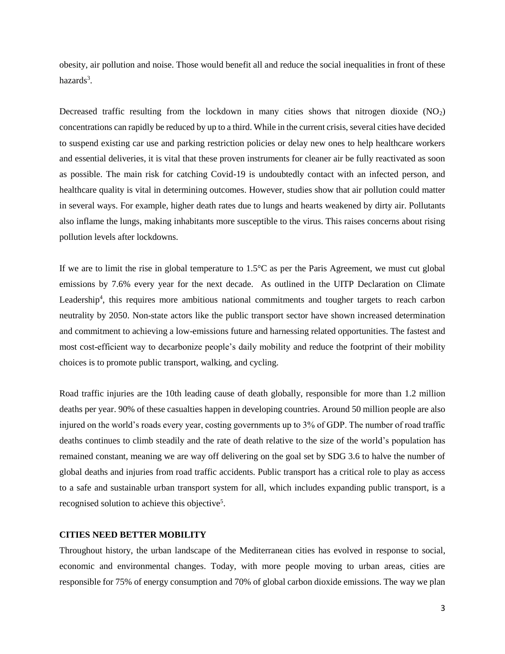obesity, air pollution and noise. Those would benefit all and reduce the social inequalities in front of these hazards<sup>3</sup>.

Decreased traffic resulting from the lockdown in many cities shows that nitrogen dioxide  $(NO<sub>2</sub>)$ concentrations can rapidly be reduced by up to a third. While in the current crisis, several cities have decided to suspend existing car use and parking restriction policies or delay new ones to help healthcare workers and essential deliveries, it is vital that these proven instruments for cleaner air be fully reactivated as soon as possible. The main risk for catching Covid-19 is undoubtedly contact with an infected person, and healthcare quality is vital in determining outcomes. However, studies show that air pollution could matter in several ways. For example, higher death rates due to lungs and hearts weakened by dirty air. Pollutants also inflame the lungs, making inhabitants more susceptible to the virus. This raises concerns about rising pollution levels after lockdowns.

If we are to limit the rise in global temperature to 1.5°C as per the Paris Agreement, we must cut global emissions by 7.6% every year for the next decade. As outlined in the UITP Declaration on Climate Leadership<sup>4</sup>, this requires more ambitious national commitments and tougher targets to reach carbon neutrality by 2050. Non-state actors like the public transport sector have shown increased determination and commitment to achieving a low-emissions future and harnessing related opportunities. The fastest and most cost-efficient way to decarbonize people's daily mobility and reduce the footprint of their mobility choices is to promote public transport, walking, and cycling.

Road traffic injuries are the 10th leading cause of death globally, responsible for more than 1.2 million deaths per year. 90% of these casualties happen in developing countries. Around 50 million people are also injured on the world's roads every year, costing governments up to 3% of GDP. The number of road traffic deaths continues to climb steadily and the rate of death relative to the size of the world's population has remained constant, meaning we are way off delivering on the goal set by SDG 3.6 to halve the number of global deaths and injuries from road traffic accidents. Public transport has a critical role to play as access to a safe and sustainable urban transport system for all, which includes expanding public transport, is a recognised solution to achieve this objective<sup>5</sup>.

#### **CITIES NEED BETTER MOBILITY**

Throughout history, the urban landscape of the Mediterranean cities has evolved in response to social, economic and environmental changes. Today, with more people moving to urban areas, cities are responsible for 75% of energy consumption and 70% of global carbon dioxide emissions. The way we plan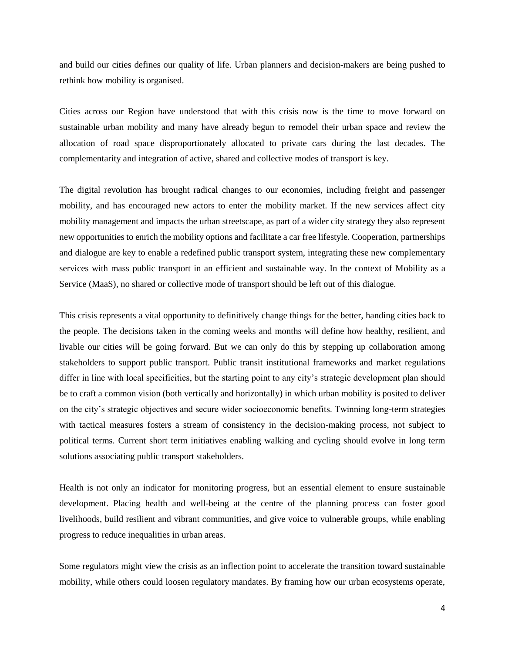and build our cities defines our quality of life. Urban planners and decision-makers are being pushed to rethink how mobility is organised.

Cities across our Region have understood that with this crisis now is the time to move forward on sustainable urban mobility and many have already begun to remodel their urban space and review the allocation of road space disproportionately allocated to private cars during the last decades. The complementarity and integration of active, shared and collective modes of transport is key.

The digital revolution has brought radical changes to our economies, including freight and passenger mobility, and has encouraged new actors to enter the mobility market. If the new services affect city mobility management and impacts the urban streetscape, as part of a wider city strategy they also represent new opportunities to enrich the mobility options and facilitate a car free lifestyle. Cooperation, partnerships and dialogue are key to enable a redefined public transport system, integrating these new complementary services with mass public transport in an efficient and sustainable way. In the context of Mobility as a Service (MaaS), no shared or collective mode of transport should be left out of this dialogue.

This crisis represents a vital opportunity to definitively change things for the better, handing cities back to the people. The decisions taken in the coming weeks and months will define how healthy, resilient, and livable our cities will be going forward. But we can only do this by stepping up collaboration among stakeholders to support public transport. Public transit institutional frameworks and market regulations differ in line with local specificities, but the starting point to any city's strategic development plan should be to craft a common vision (both vertically and horizontally) in which urban mobility is posited to deliver on the city's strategic objectives and secure wider socioeconomic benefits. Twinning long-term strategies with tactical measures fosters a stream of consistency in the decision-making process, not subject to political terms. Current short term initiatives enabling walking and cycling should evolve in long term solutions associating public transport stakeholders.

Health is not only an indicator for monitoring progress, but an essential element to ensure sustainable development. Placing health and well-being at the centre of the planning process can foster good livelihoods, build resilient and vibrant communities, and give voice to vulnerable groups, while enabling progress to reduce inequalities in urban areas.

Some regulators might view the crisis as an inflection point to accelerate the transition toward sustainable mobility, while others could loosen regulatory mandates. By framing how our urban ecosystems operate,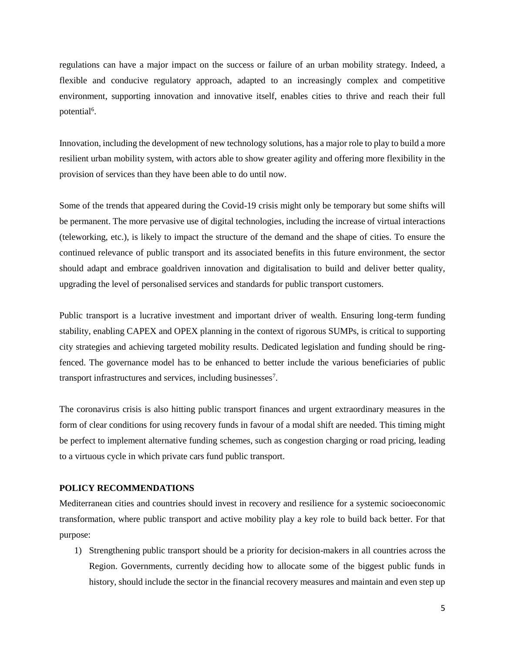regulations can have a major impact on the success or failure of an urban mobility strategy. Indeed, a flexible and conducive regulatory approach, adapted to an increasingly complex and competitive environment, supporting innovation and innovative itself, enables cities to thrive and reach their full potential<sup>6</sup>.

Innovation, including the development of new technology solutions, has a major role to play to build a more resilient urban mobility system, with actors able to show greater agility and offering more flexibility in the provision of services than they have been able to do until now.

Some of the trends that appeared during the Covid-19 crisis might only be temporary but some shifts will be permanent. The more pervasive use of digital technologies, including the increase of virtual interactions (teleworking, etc.), is likely to impact the structure of the demand and the shape of cities. To ensure the continued relevance of public transport and its associated benefits in this future environment, the sector should adapt and embrace goaldriven innovation and digitalisation to build and deliver better quality, upgrading the level of personalised services and standards for public transport customers.

Public transport is a lucrative investment and important driver of wealth. Ensuring long-term funding stability, enabling CAPEX and OPEX planning in the context of rigorous SUMPs, is critical to supporting city strategies and achieving targeted mobility results. Dedicated legislation and funding should be ringfenced. The governance model has to be enhanced to better include the various beneficiaries of public transport infrastructures and services, including businesses<sup>7</sup>.

The coronavirus crisis is also hitting public transport finances and urgent extraordinary measures in the form of clear conditions for using recovery funds in favour of a modal shift are needed. This timing might be perfect to implement alternative funding schemes, such as congestion charging or road pricing, leading to a virtuous cycle in which private cars fund public transport.

#### **POLICY RECOMMENDATIONS**

Mediterranean cities and countries should invest in recovery and resilience for a systemic socioeconomic transformation, where public transport and active mobility play a key role to build back better. For that purpose:

1) Strengthening public transport should be a priority for decision-makers in all countries across the Region. Governments, currently deciding how to allocate some of the biggest public funds in history, should include the sector in the financial recovery measures and maintain and even step up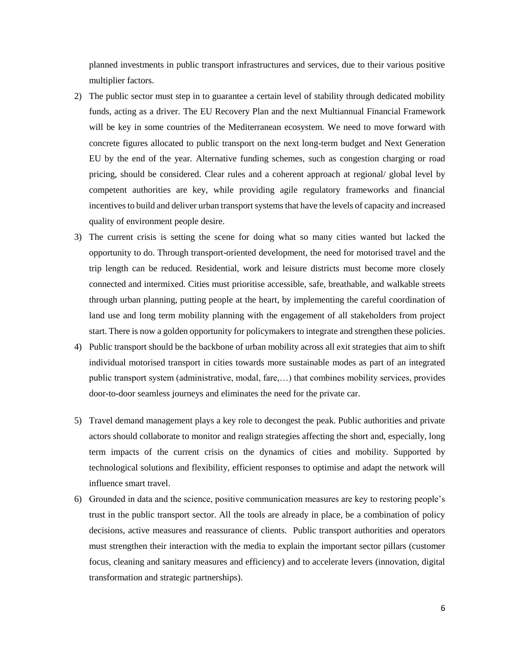planned investments in public transport infrastructures and services, due to their various positive multiplier factors.

- 2) The public sector must step in to guarantee a certain level of stability through dedicated mobility funds, acting as a driver. The EU Recovery Plan and the next Multiannual Financial Framework will be key in some countries of the Mediterranean ecosystem. We need to move forward with concrete figures allocated to public transport on the next long-term budget and Next Generation EU by the end of the year. Alternative funding schemes, such as congestion charging or road pricing, should be considered. Clear rules and a coherent approach at regional/ global level by competent authorities are key, while providing agile regulatory frameworks and financial incentives to build and deliver urban transport systems that have the levels of capacity and increased quality of environment people desire.
- 3) The current crisis is setting the scene for doing what so many cities wanted but lacked the opportunity to do. Through transport-oriented development, the need for motorised travel and the trip length can be reduced. Residential, work and leisure districts must become more closely connected and intermixed. Cities must prioritise accessible, safe, breathable, and walkable streets through urban planning, putting people at the heart, by implementing the careful coordination of land use and long term mobility planning with the engagement of all stakeholders from project start. There is now a golden opportunity for policymakers to integrate and strengthen these policies.
- 4) Public transport should be the backbone of urban mobility across all exit strategies that aim to shift individual motorised transport in cities towards more sustainable modes as part of an integrated public transport system (administrative, modal, fare,…) that combines mobility services, provides door-to-door seamless journeys and eliminates the need for the private car.
- 5) Travel demand management plays a key role to decongest the peak. Public authorities and private actors should collaborate to monitor and realign strategies affecting the short and, especially, long term impacts of the current crisis on the dynamics of cities and mobility. Supported by technological solutions and flexibility, efficient responses to optimise and adapt the network will influence smart travel.
- 6) Grounded in data and the science, positive communication measures are key to restoring people's trust in the public transport sector. All the tools are already in place, be a combination of policy decisions, active measures and reassurance of clients. Public transport authorities and operators must strengthen their interaction with the media to explain the important sector pillars (customer focus, cleaning and sanitary measures and efficiency) and to accelerate levers (innovation, digital transformation and strategic partnerships).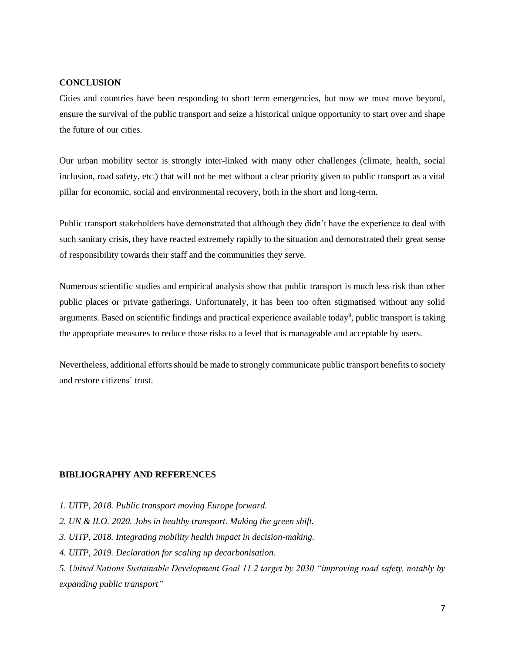## **CONCLUSION**

Cities and countries have been responding to short term emergencies, but now we must move beyond, ensure the survival of the public transport and seize a historical unique opportunity to start over and shape the future of our cities.

Our urban mobility sector is strongly inter-linked with many other challenges (climate, health, social inclusion, road safety, etc.) that will not be met without a clear priority given to public transport as a vital pillar for economic, social and environmental recovery, both in the short and long-term.

Public transport stakeholders have demonstrated that although they didn't have the experience to deal with such sanitary crisis, they have reacted extremely rapidly to the situation and demonstrated their great sense of responsibility towards their staff and the communities they serve.

Numerous scientific studies and empirical analysis show that public transport is much less risk than other public places or private gatherings. Unfortunately, it has been too often stigmatised without any solid arguments. Based on scientific findings and practical experience available today<sup>9</sup>, public transport is taking the appropriate measures to reduce those risks to a level that is manageable and acceptable by users.

Nevertheless, additional efforts should be made to strongly communicate public transport benefits to society and restore citizens´ trust.

# **BIBLIOGRAPHY AND REFERENCES**

- *1. UITP, 2018. Public transport moving Europe forward.*
- *2. UN & ILO. 2020. Jobs in healthy transport. Making the green shift.*
- *3. UITP, 2018. Integrating mobility health impact in decision-making.*
- *4. UITP, 2019. Declaration for scaling up decarbonisation.*

*5. United Nations Sustainable Development Goal 11.2 target by 2030 "improving road safety, notably by expanding public transport"*